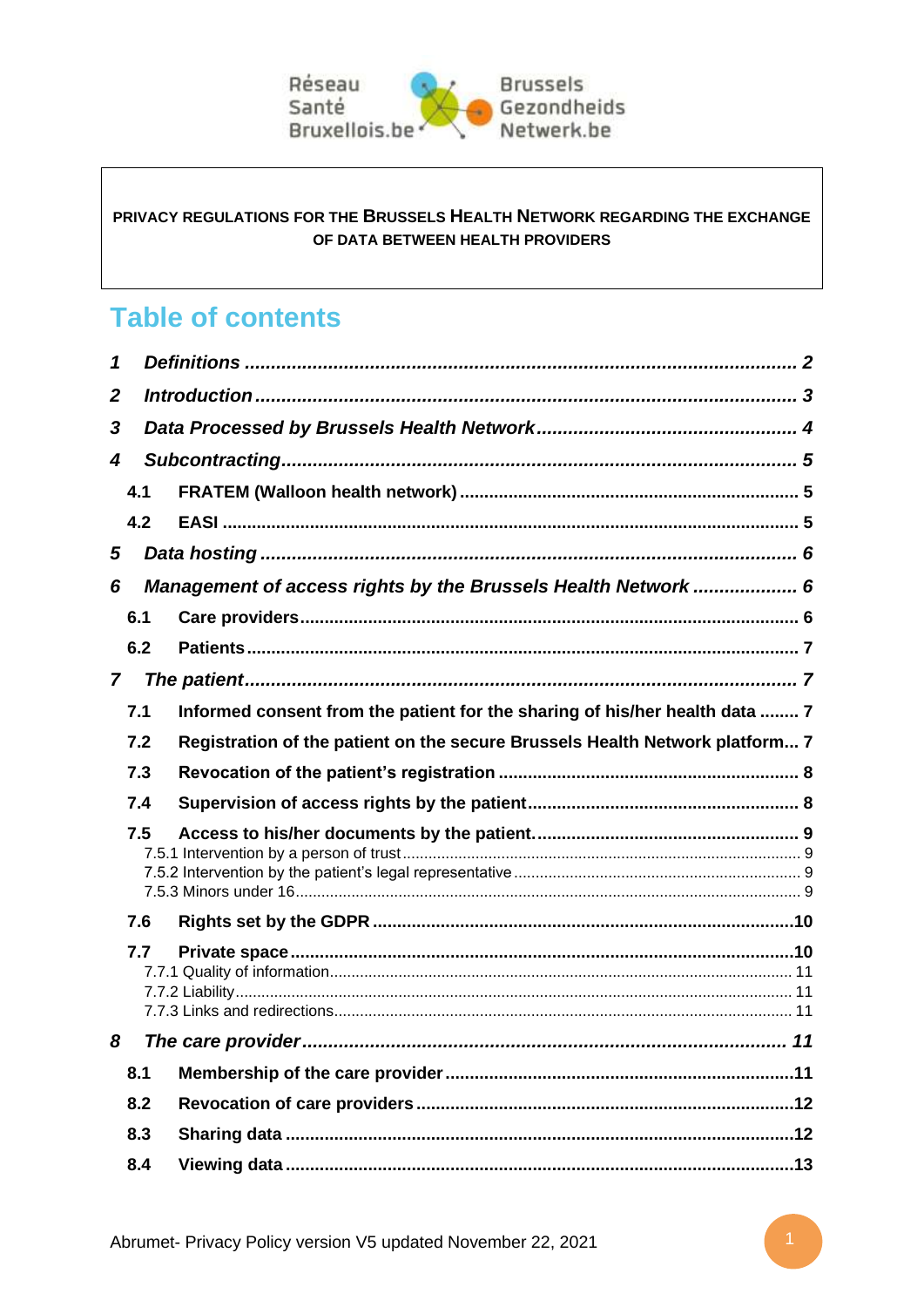

### PRIVACY REGULATIONS FOR THE BRUSSELS HEALTH NETWORK REGARDING THE EXCHANGE OF DATA BETWEEN HEALTH PROVIDERS

# **Table of contents**

| 1                                                                  |     |                                                                              |
|--------------------------------------------------------------------|-----|------------------------------------------------------------------------------|
| $\mathbf{2}$                                                       |     |                                                                              |
| 3                                                                  |     |                                                                              |
| 4                                                                  |     |                                                                              |
|                                                                    | 4.1 |                                                                              |
|                                                                    | 4.2 |                                                                              |
| 5                                                                  |     |                                                                              |
| Management of access rights by the Brussels Health Network  6<br>6 |     |                                                                              |
|                                                                    | 6.1 |                                                                              |
|                                                                    | 6.2 |                                                                              |
| $\overline{7}$                                                     |     |                                                                              |
|                                                                    | 7.1 | Informed consent from the patient for the sharing of his/her health data  7  |
|                                                                    | 7.2 | Registration of the patient on the secure Brussels Health Network platform 7 |
|                                                                    | 7.3 |                                                                              |
|                                                                    | 7.4 |                                                                              |
| 7.5                                                                |     |                                                                              |
|                                                                    | 7.6 |                                                                              |
|                                                                    | 7.7 |                                                                              |
| 8                                                                  |     |                                                                              |
|                                                                    | 8.1 |                                                                              |
|                                                                    | 8.2 |                                                                              |
|                                                                    | 8.3 |                                                                              |
|                                                                    | 8.4 |                                                                              |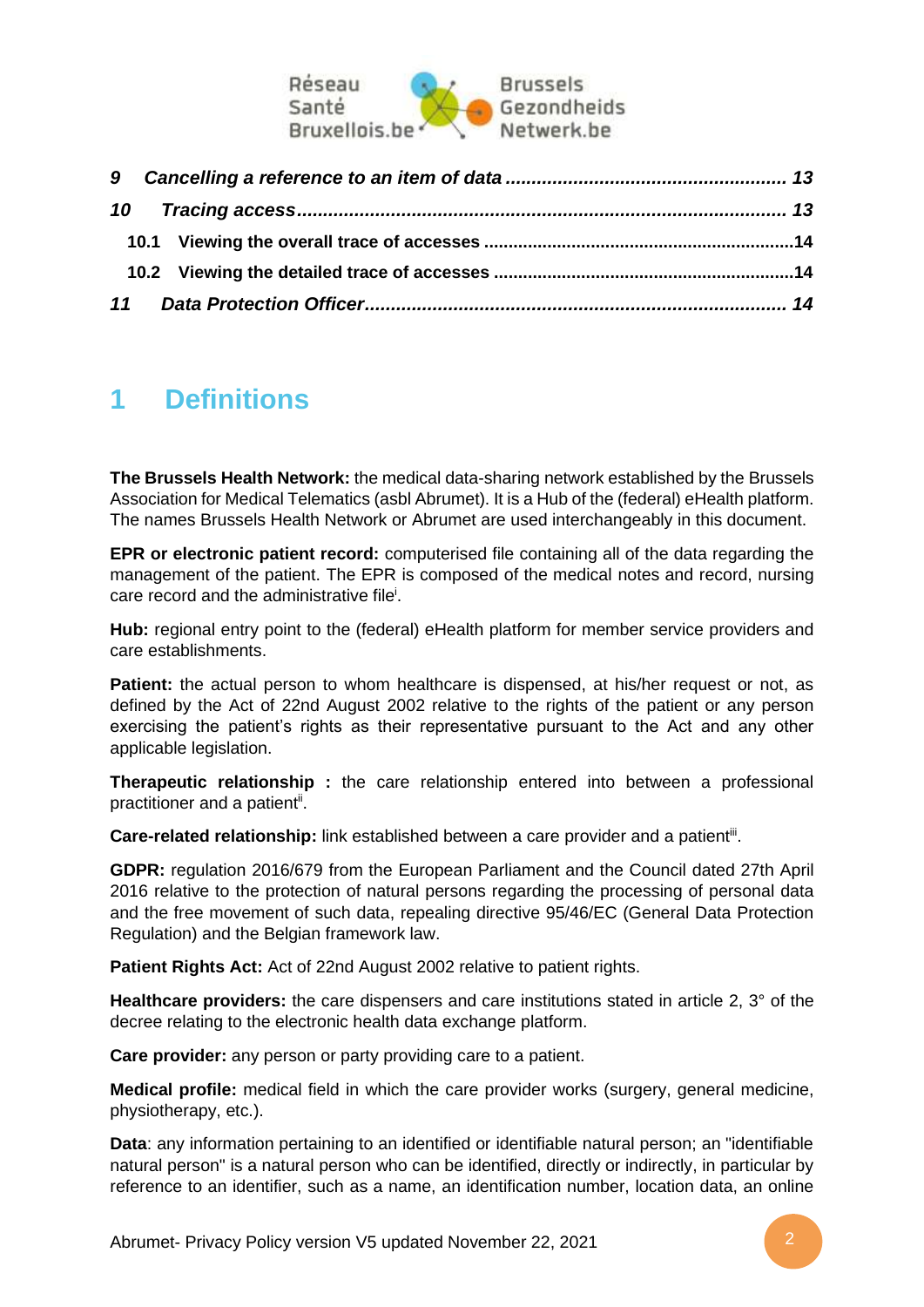

# <span id="page-1-0"></span>**1 Definitions**

**The Brussels Health Network:** the medical data-sharing network established by the Brussels Association for Medical Telematics (asbl Abrumet). It is a Hub of the (federal) eHealth platform. The names Brussels Health Network or Abrumet are used interchangeably in this document.

**EPR or electronic patient record:** computerised file containing all of the data regarding the management of the patient. The EPR is composed of the medical notes and record, nursing care record and the administrative file<sup>i</sup>.

**Hub:** regional entry point to the (federal) eHealth platform for member service providers and care establishments.

**Patient:** the actual person to whom healthcare is dispensed, at his/her request or not, as defined by the Act of 22nd August 2002 relative to the rights of the patient or any person exercising the patient's rights as their representative pursuant to the Act and any other applicable legislation.

**Therapeutic relationship :** the care relationship entered into between a professional practitioner and a patient<sup>ii</sup>.

Care-related relationship: link established between a care provider and a patient<sup>iii</sup>.

**GDPR:** regulation 2016/679 from the European Parliament and the Council dated 27th April 2016 relative to the protection of natural persons regarding the processing of personal data and the free movement of such data, repealing directive 95/46/EC (General Data Protection Regulation) and the Belgian framework law.

**Patient Rights Act:** Act of 22nd August 2002 relative to patient rights.

**Healthcare providers:** the care dispensers and care institutions stated in article 2, 3° of the decree relating to the electronic health data exchange platform.

**Care provider:** any person or party providing care to a patient.

**Medical profile:** medical field in which the care provider works (surgery, general medicine, physiotherapy, etc.).

**Data**: any information pertaining to an identified or identifiable natural person; an "identifiable natural person" is a natural person who can be identified, directly or indirectly, in particular by reference to an identifier, such as a name, an identification number, location data, an online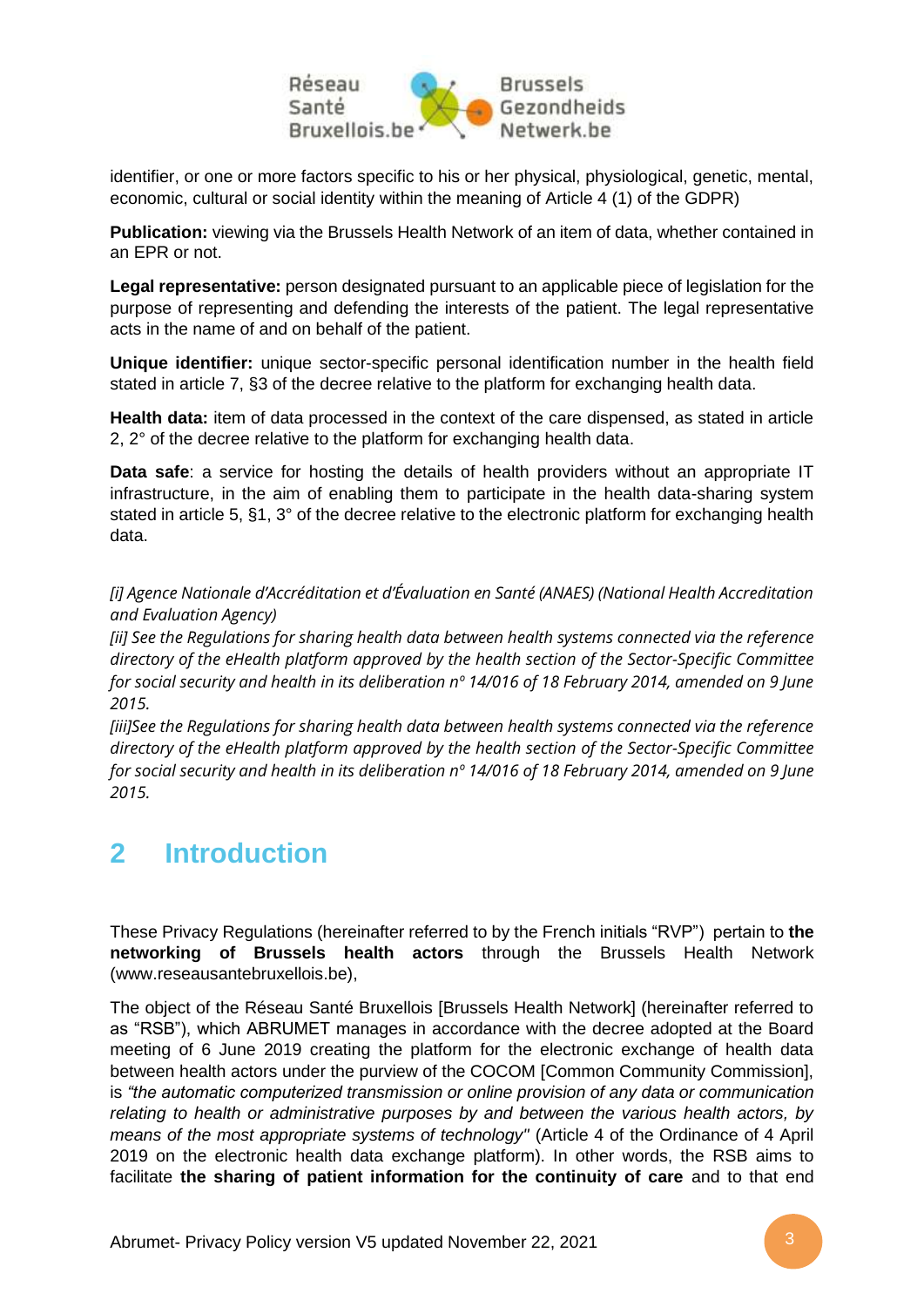

identifier, or one or more factors specific to his or her physical, physiological, genetic, mental, economic, cultural or social identity within the meaning of Article 4 (1) of the GDPR)

**Publication:** viewing via the Brussels Health Network of an item of data, whether contained in an EPR or not.

**Legal representative:** person designated pursuant to an applicable piece of legislation for the purpose of representing and defending the interests of the patient. The legal representative acts in the name of and on behalf of the patient.

**Unique identifier:** unique sector-specific personal identification number in the health field stated in article 7, §3 of the decree relative to the platform for exchanging health data.

**Health data:** item of data processed in the context of the care dispensed, as stated in article 2, 2° of the decree relative to the platform for exchanging health data.

**Data safe**: a service for hosting the details of health providers without an appropriate IT infrastructure, in the aim of enabling them to participate in the health data-sharing system stated in article 5, §1, 3° of the decree relative to the electronic platform for exchanging health data.

*[i] Agence Nationale d'Accréditation et d'Évaluation en Santé (ANAES) (National Health Accreditation and Evaluation Agency)*

*[ii] See the Regulations for sharing health data between health systems connected via the reference directory of the eHealth platform approved by the health section of the Sector-Specific Committee for social security and health in its deliberation nº 14/016 of 18 February 2014, amended on 9 June 2015.*

*[iii]See the Regulations for sharing health data between health systems connected via the reference directory of the eHealth platform approved by the health section of the Sector-Specific Committee for social security and health in its deliberation nº 14/016 of 18 February 2014, amended on 9 June 2015.*

# <span id="page-2-0"></span>**2 Introduction**

These Privacy Regulations (hereinafter referred to by the French initials "RVP") pertain to **the networking of Brussels health actors** through the Brussels Health Network (www.reseausantebruxellois.be),

The object of the Réseau Santé Bruxellois [Brussels Health Network] (hereinafter referred to as "RSB"), which ABRUMET manages in accordance with the decree adopted at the Board meeting of 6 June 2019 creating the platform for the electronic exchange of health data between health actors under the purview of the COCOM [Common Community Commission], is *"the automatic computerized transmission or online provision of any data or communication relating to health or administrative purposes by and between the various health actors, by means of the most appropriate systems of technology"* (Article 4 of the Ordinance of 4 April 2019 on the electronic health data exchange platform). In other words, the RSB aims to facilitate **the sharing of patient information for the continuity of care** and to that end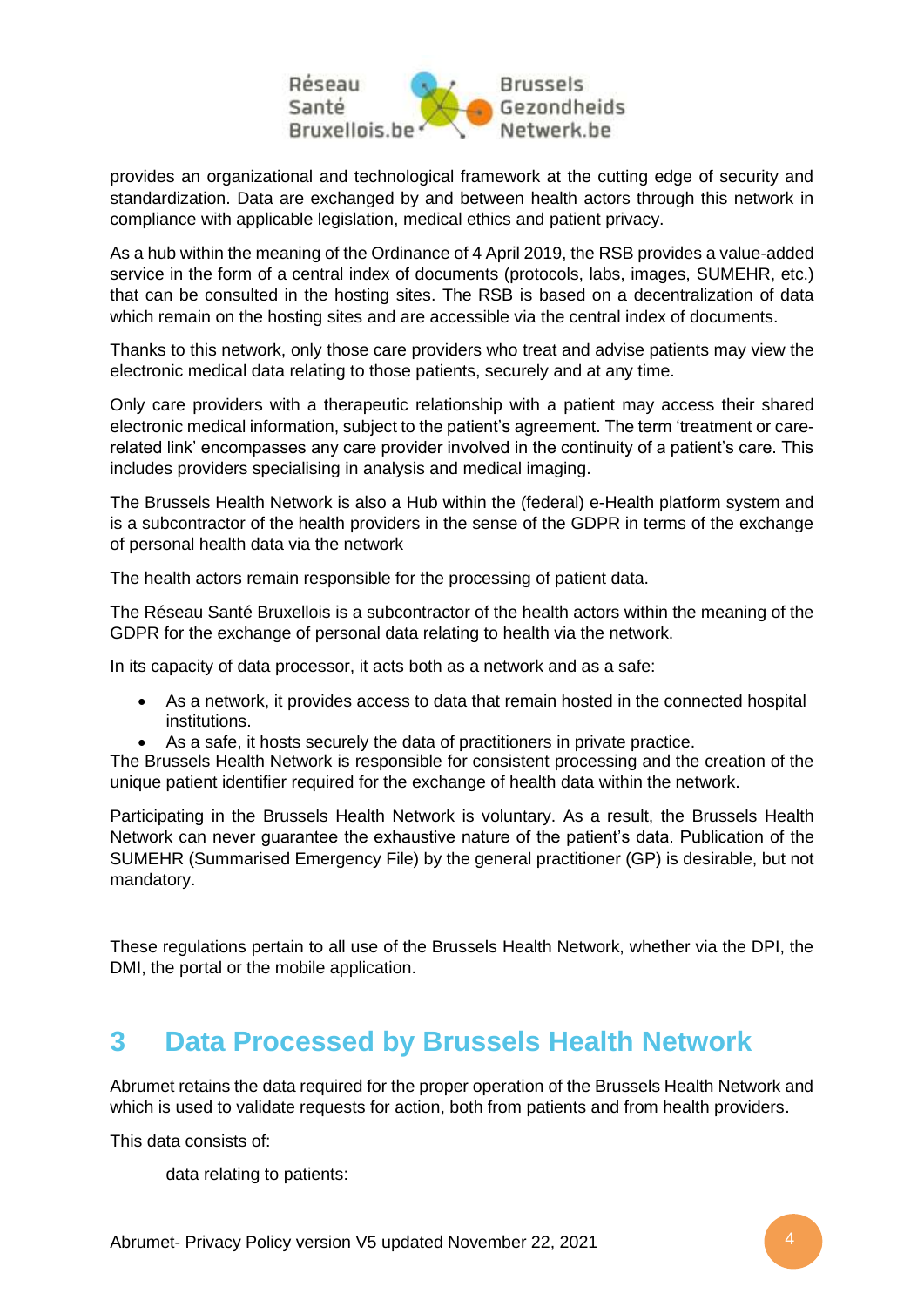

provides an organizational and technological framework at the cutting edge of security and standardization. Data are exchanged by and between health actors through this network in compliance with applicable legislation, medical ethics and patient privacy.

As a hub within the meaning of the Ordinance of 4 April 2019, the RSB provides a value-added service in the form of a central index of documents (protocols, labs, images, SUMEHR, etc.) that can be consulted in the hosting sites. The RSB is based on a decentralization of data which remain on the hosting sites and are accessible via the central index of documents.

Thanks to this network, only those care providers who treat and advise patients may view the electronic medical data relating to those patients, securely and at any time.

Only care providers with a therapeutic relationship with a patient may access their shared electronic medical information, subject to the patient's agreement. The term 'treatment or carerelated link' encompasses any care provider involved in the continuity of a patient's care. This includes providers specialising in analysis and medical imaging.

The Brussels Health Network is also a Hub within the (federal) e-Health platform system and is a subcontractor of the health providers in the sense of the GDPR in terms of the exchange of personal health data via the network

The health actors remain responsible for the processing of patient data.

The Réseau Santé Bruxellois is a subcontractor of the health actors within the meaning of the GDPR for the exchange of personal data relating to health via the network.

In its capacity of data processor, it acts both as a network and as a safe:

- As a network, it provides access to data that remain hosted in the connected hospital institutions.
- As a safe, it hosts securely the data of practitioners in private practice.

The Brussels Health Network is responsible for consistent processing and the creation of the unique patient identifier required for the exchange of health data within the network.

Participating in the Brussels Health Network is voluntary. As a result, the Brussels Health Network can never guarantee the exhaustive nature of the patient's data. Publication of the SUMEHR (Summarised Emergency File) by the general practitioner (GP) is desirable, but not mandatory.

These regulations pertain to all use of the Brussels Health Network, whether via the DPI, the DMI, the portal or the mobile application.

# <span id="page-3-0"></span>**3 Data Processed by Brussels Health Network**

Abrumet retains the data required for the proper operation of the Brussels Health Network and which is used to validate requests for action, both from patients and from health providers.

This data consists of:

data relating to patients: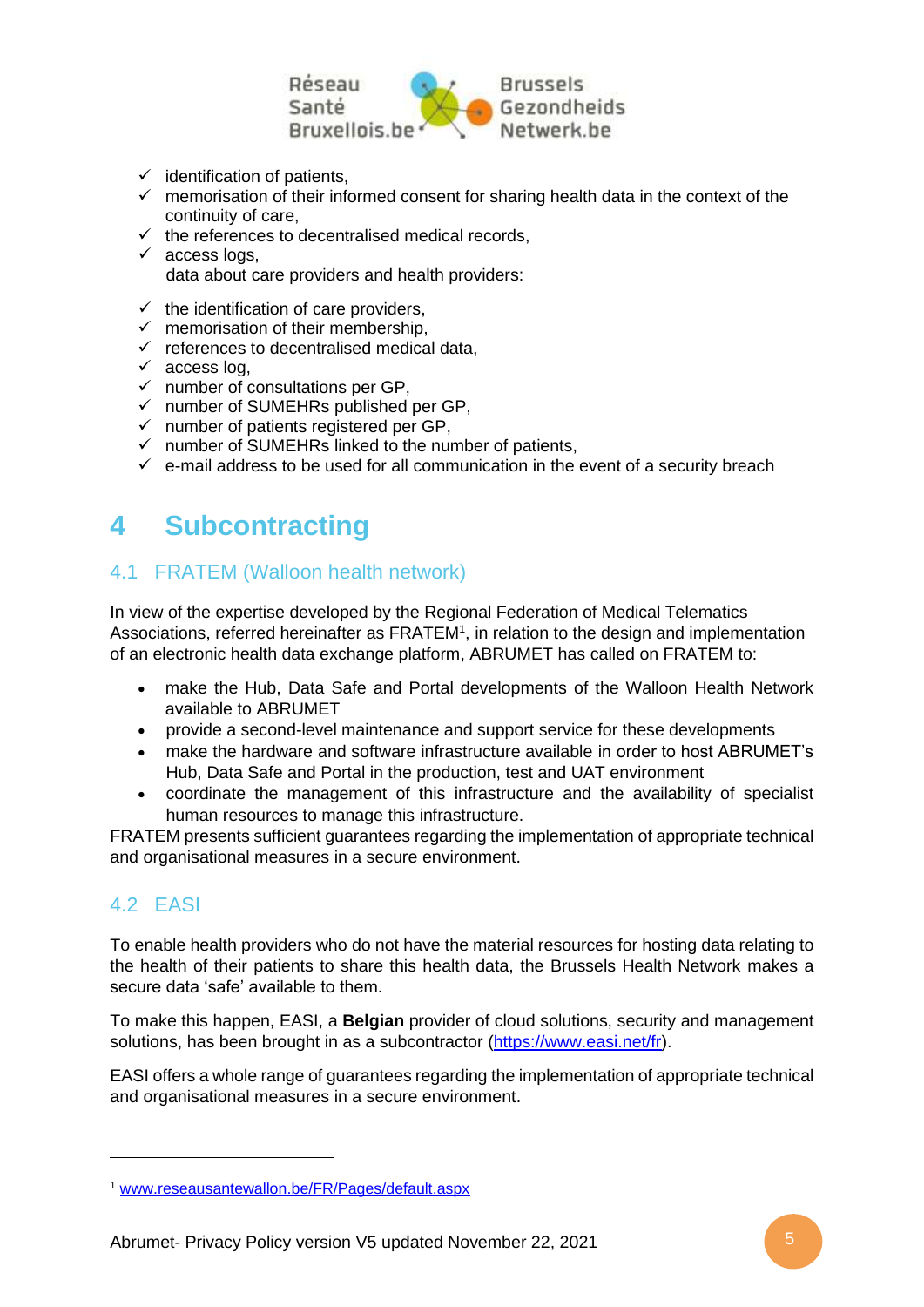

- $\checkmark$  identification of patients,
- $\checkmark$  memorisation of their informed consent for sharing health data in the context of the continuity of care,
- $\checkmark$  the references to decentralised medical records,
- $\checkmark$  access logs, data about care providers and health providers:
- $\checkmark$  the identification of care providers.
- $\checkmark$  memorisation of their membership,
- $\checkmark$  references to decentralised medical data,
- $\checkmark$  access log,
- $\checkmark$  number of consultations per GP,
- ✓ number of SUMEHRs published per GP,
- ✓ number of patients registered per GP,
- ✓ number of SUMEHRs linked to the number of patients,
- $\checkmark$  e-mail address to be used for all communication in the event of a security breach

# <span id="page-4-0"></span>**4 Subcontracting**

## <span id="page-4-1"></span>4.1 FRATEM (Walloon health network)

In view of the expertise developed by the Regional Federation of Medical Telematics Associations, referred hereinafter as FRATEM<sup>1</sup>, in relation to the design and implementation of an electronic health data exchange platform, ABRUMET has called on FRATEM to:

- make the Hub, Data Safe and Portal developments of the Walloon Health Network available to ABRUMET
- provide a second-level maintenance and support service for these developments
- make the hardware and software infrastructure available in order to host ABRUMET's Hub, Data Safe and Portal in the production, test and UAT environment
- coordinate the management of this infrastructure and the availability of specialist human resources to manage this infrastructure.

FRATEM presents sufficient guarantees regarding the implementation of appropriate technical and organisational measures in a secure environment.

## <span id="page-4-2"></span>4.2 FASI

To enable health providers who do not have the material resources for hosting data relating to the health of their patients to share this health data, the Brussels Health Network makes a secure data 'safe' available to them.

To make this happen, EASI, a **Belgian** provider of cloud solutions, security and management solutions, has been brought in as a subcontractor [\(https://www.easi.net/fr\)](https://www.easi.net/fr).

EASI offers a whole range of guarantees regarding the implementation of appropriate technical and organisational measures in a secure environment.

<sup>1</sup> [www.reseausantewallon.be/FR/Pages/default.aspx](http://www.reseausantewallon.be/FR/Pages/default.aspx)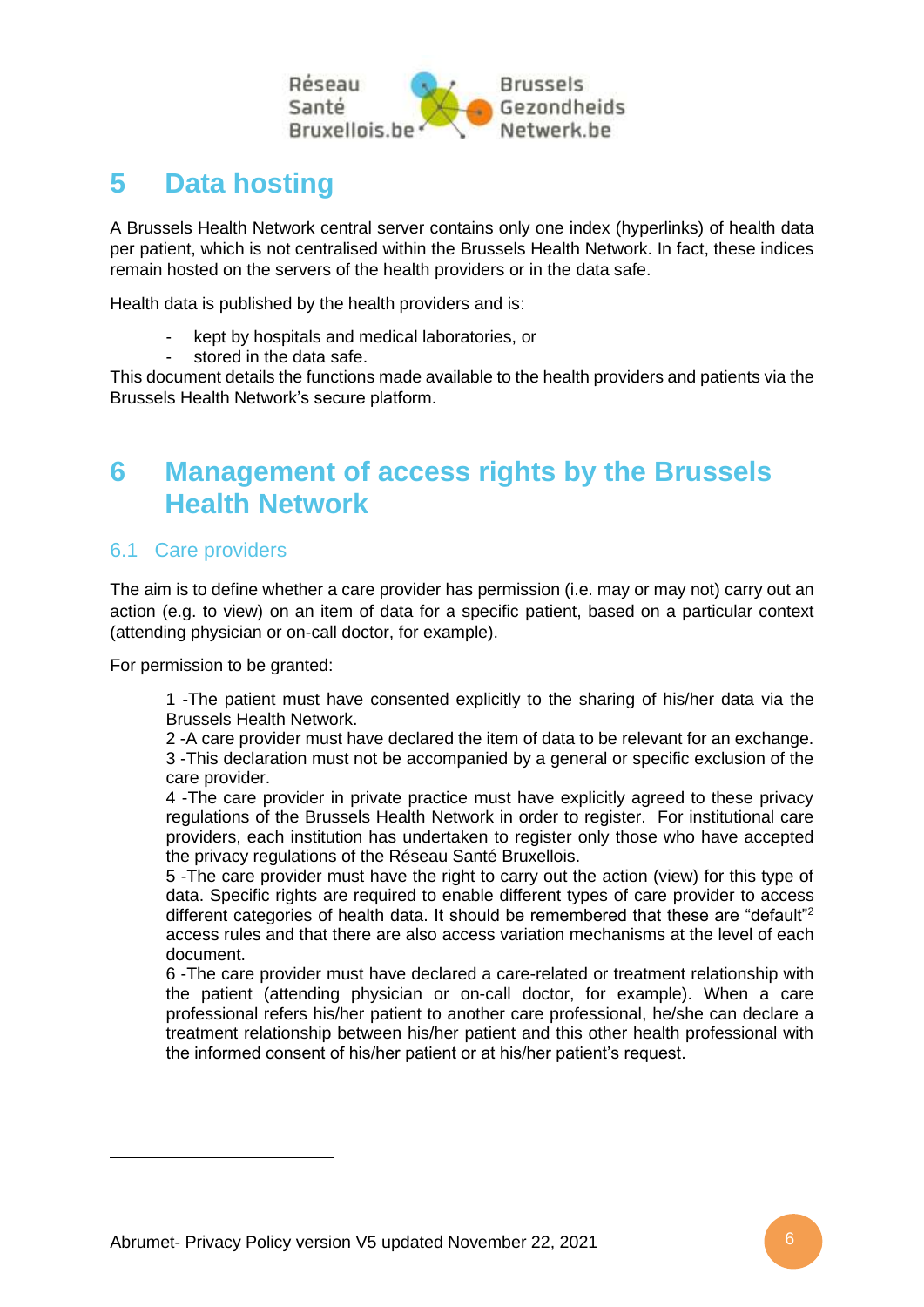

# <span id="page-5-0"></span>**5 Data hosting**

A Brussels Health Network central server contains only one index (hyperlinks) of health data per patient, which is not centralised within the Brussels Health Network. In fact, these indices remain hosted on the servers of the health providers or in the data safe.

Health data is published by the health providers and is:

- kept by hospitals and medical laboratories, or
- stored in the data safe.

This document details the functions made available to the health providers and patients via the Brussels Health Network's secure platform.

# <span id="page-5-1"></span>**6 Management of access rights by the Brussels Health Network**

## <span id="page-5-2"></span>6.1 Care providers

The aim is to define whether a care provider has permission (i.e. may or may not) carry out an action (e.g. to view) on an item of data for a specific patient, based on a particular context (attending physician or on-call doctor, for example).

For permission to be granted:

1 -The patient must have consented explicitly to the sharing of his/her data via the Brussels Health Network.

2 -A care provider must have declared the item of data to be relevant for an exchange. 3 -This declaration must not be accompanied by a general or specific exclusion of the care provider.

4 -The care provider in private practice must have explicitly agreed to these privacy regulations of the Brussels Health Network in order to register. For institutional care providers, each institution has undertaken to register only those who have accepted the privacy regulations of the Réseau Santé Bruxellois.

5 -The care provider must have the right to carry out the action (view) for this type of data. Specific rights are required to enable different types of care provider to access different categories of health data. It should be remembered that these are "default"<sup>2</sup> access rules and that there are also access variation mechanisms at the level of each document.

6 -The care provider must have declared a care-related or treatment relationship with the patient (attending physician or on-call doctor, for example). When a care professional refers his/her patient to another care professional, he/she can declare a treatment relationship between his/her patient and this other health professional with the informed consent of his/her patient or at his/her patient's request.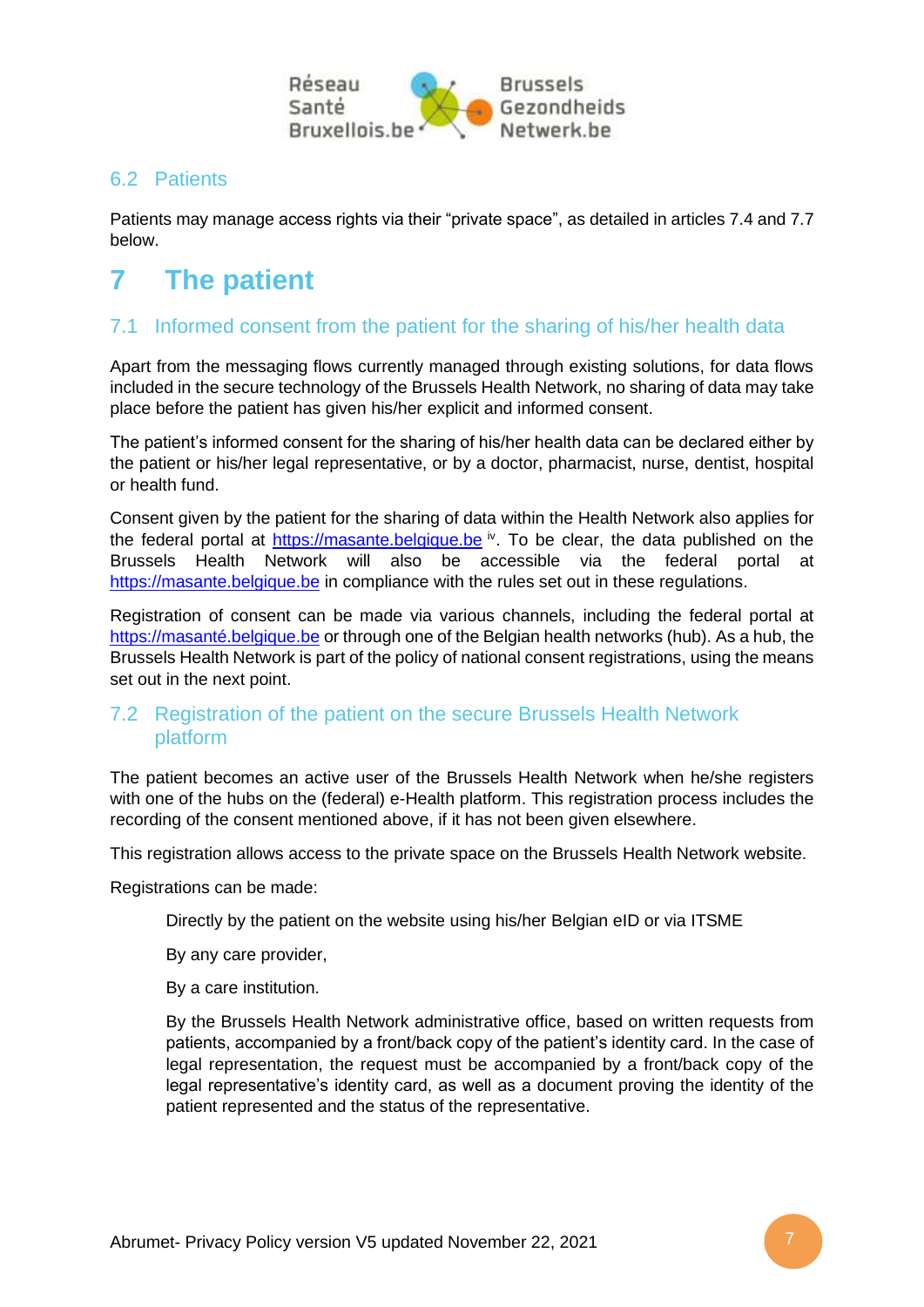

### <span id="page-6-0"></span>6.2 Patients

Patients may manage access rights via their "private space", as detailed in articles 7.4 and 7.7 below.

# <span id="page-6-1"></span>**7 The patient**

## <span id="page-6-2"></span>7.1 Informed consent from the patient for the sharing of his/her health data

Apart from the messaging flows currently managed through existing solutions, for data flows included in the secure technology of the Brussels Health Network, no sharing of data may take place before the patient has given his/her explicit and informed consent.

The patient's informed consent for the sharing of his/her health data can be declared either by the patient or his/her legal representative, or by a doctor, pharmacist, nurse, dentist, hospital or health fund.

Consent given by the patient for the sharing of data within the Health Network also applies for the federal portal at [https://masante.belgique.be](https://masante.belgique.be/) iv. To be clear, the data published on the Brussels Health Network will also be accessible via the federal portal at [https://masante.belgique.be](https://masante.belgique.be/) in compliance with the rules set out in these regulations.

Registration of consent can be made via various channels, including the federal portal at [https://masanté.belgique.be](https://masanté.belgique.be/) or through one of the Belgian health networks (hub). As a hub, the Brussels Health Network is part of the policy of national consent registrations, using the means set out in the next point.

### <span id="page-6-3"></span>7.2 Registration of the patient on the secure Brussels Health Network platform

The patient becomes an active user of the Brussels Health Network when he/she registers with one of the hubs on the (federal) e-Health platform. This registration process includes the recording of the consent mentioned above, if it has not been given elsewhere.

This registration allows access to the private space on the Brussels Health Network website.

Registrations can be made:

Directly by the patient on the website using his/her Belgian eID or via ITSME

By any care provider,

By a care institution.

By the Brussels Health Network administrative office, based on written requests from patients, accompanied by a front/back copy of the patient's identity card. In the case of legal representation, the request must be accompanied by a front/back copy of the legal representative's identity card, as well as a document proving the identity of the patient represented and the status of the representative.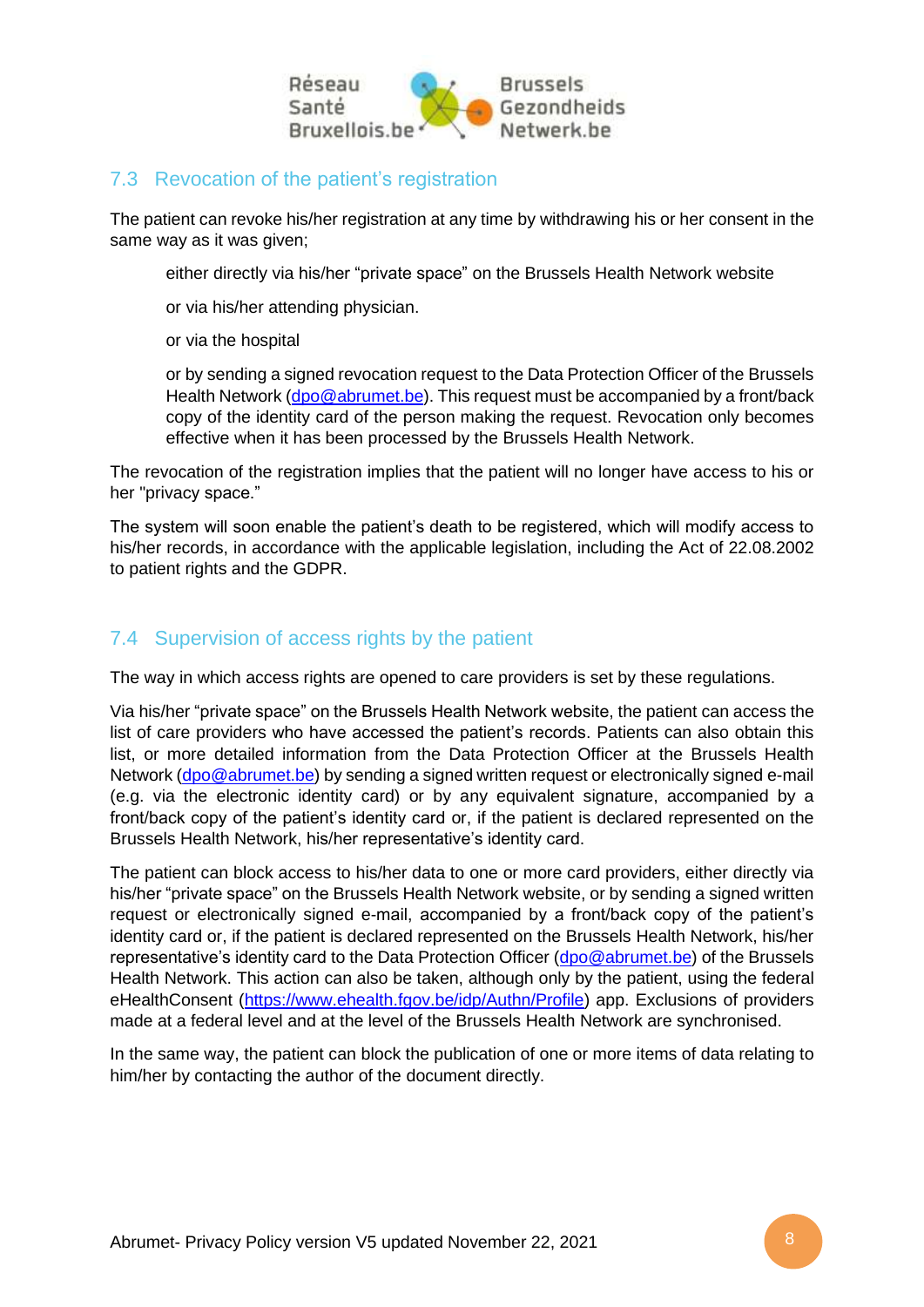

## <span id="page-7-0"></span>7.3 Revocation of the patient's registration

The patient can revoke his/her registration at any time by withdrawing his or her consent in the same way as it was given:

either directly via his/her "private space" on the Brussels Health Network website

or via his/her attending physician.

or via the hospital

or by sending a signed revocation request to the Data Protection Officer of the Brussels Health Network [\(dpo@abrumet.be\)](mailto:dpo@abrumet.be). This request must be accompanied by a front/back copy of the identity card of the person making the request. Revocation only becomes effective when it has been processed by the Brussels Health Network.

The revocation of the registration implies that the patient will no longer have access to his or her "privacy space."

The system will soon enable the patient's death to be registered, which will modify access to his/her records, in accordance with the applicable legislation, including the Act of 22.08.2002 to patient rights and the GDPR.

### <span id="page-7-1"></span>7.4 Supervision of access rights by the patient

The way in which access rights are opened to care providers is set by these regulations.

Via his/her "private space" on the Brussels Health Network website, the patient can access the list of care providers who have accessed the patient's records. Patients can also obtain this list, or more detailed information from the Data Protection Officer at the Brussels Health Network [\(dpo@abrumet.be\)](mailto:dpo@abrumet.be) by sending a signed written request or electronically signed e-mail (e.g. via the electronic identity card) or by any equivalent signature, accompanied by a front/back copy of the patient's identity card or, if the patient is declared represented on the Brussels Health Network, his/her representative's identity card.

The patient can block access to his/her data to one or more card providers, either directly via his/her "private space" on the Brussels Health Network website, or by sending a signed written request or electronically signed e-mail, accompanied by a front/back copy of the patient's identity card or, if the patient is declared represented on the Brussels Health Network, his/her representative's identity card to the Data Protection Officer [\(dpo@abrumet.be\)](mailto:dpo@abrumet.be) of the Brussels Health Network. This action can also be taken, although only by the patient, using the federal eHealthConsent [\(https://www.ehealth.fgov.be/idp/Authn/Profile\)](https://www.ehealth.fgov.be/idp/Authn/Profile) app. Exclusions of providers made at a federal level and at the level of the Brussels Health Network are synchronised.

In the same way, the patient can block the publication of one or more items of data relating to him/her by contacting the author of the document directly.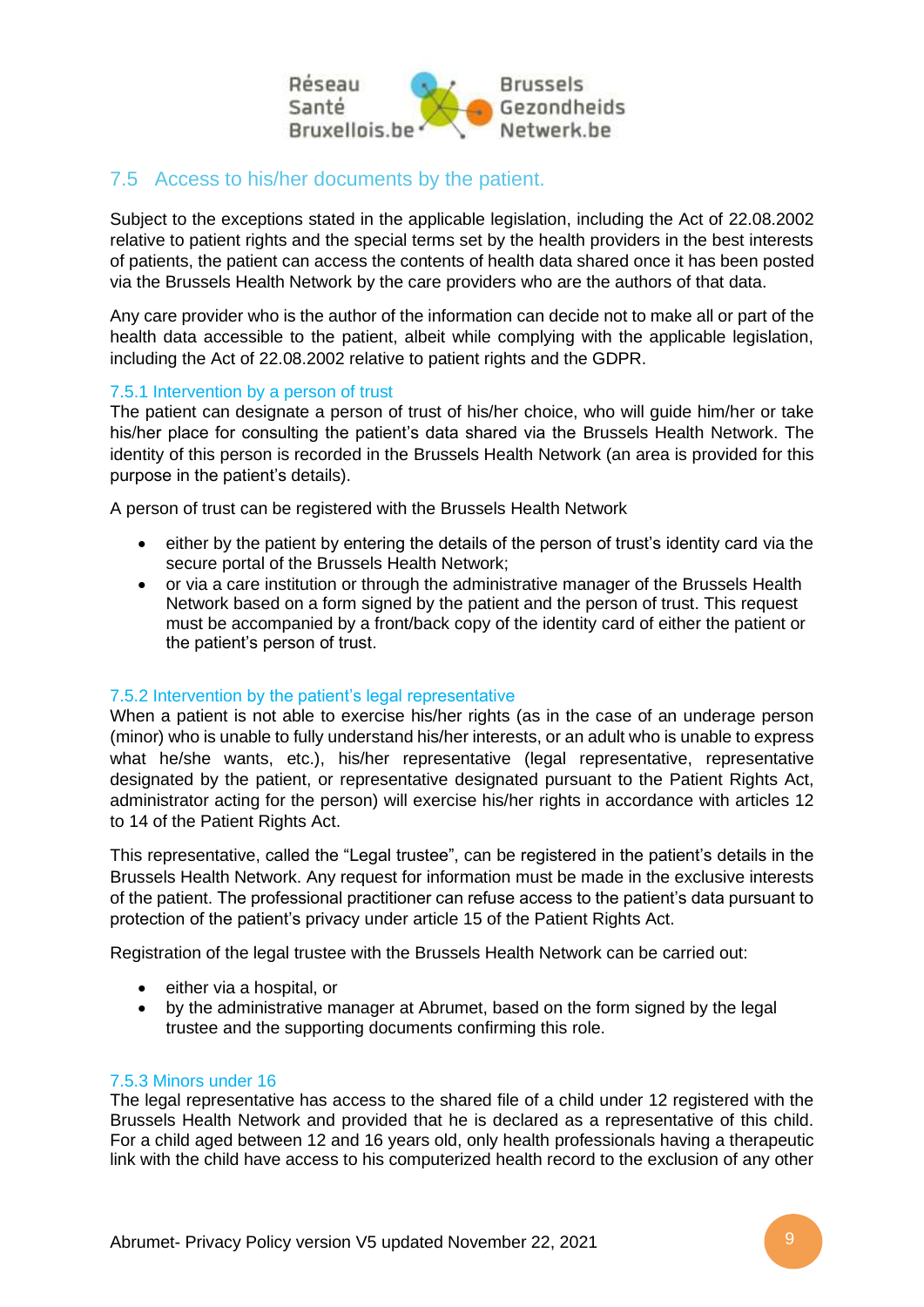

## <span id="page-8-0"></span>7.5 Access to his/her documents by the patient.

Subject to the exceptions stated in the applicable legislation, including the Act of 22.08.2002 relative to patient rights and the special terms set by the health providers in the best interests of patients, the patient can access the contents of health data shared once it has been posted via the Brussels Health Network by the care providers who are the authors of that data.

Any care provider who is the author of the information can decide not to make all or part of the health data accessible to the patient, albeit while complying with the applicable legislation, including the Act of 22.08.2002 relative to patient rights and the GDPR.

#### <span id="page-8-1"></span>7.5.1 Intervention by a person of trust

The patient can designate a person of trust of his/her choice, who will guide him/her or take his/her place for consulting the patient's data shared via the Brussels Health Network. The identity of this person is recorded in the Brussels Health Network (an area is provided for this purpose in the patient's details).

A person of trust can be registered with the Brussels Health Network

- either by the patient by entering the details of the person of trust's identity card via the secure portal of the Brussels Health Network;
- or via a care institution or through the administrative manager of the Brussels Health Network based on a form signed by the patient and the person of trust. This request must be accompanied by a front/back copy of the identity card of either the patient or the patient's person of trust.

#### <span id="page-8-2"></span>7.5.2 Intervention by the patient's legal representative

When a patient is not able to exercise his/her rights (as in the case of an underage person (minor) who is unable to fully understand his/her interests, or an adult who is unable to express what he/she wants, etc.), his/her representative (legal representative, representative designated by the patient, or representative designated pursuant to the Patient Rights Act, administrator acting for the person) will exercise his/her rights in accordance with articles 12 to 14 of the Patient Rights Act.

This representative, called the "Legal trustee", can be registered in the patient's details in the Brussels Health Network. Any request for information must be made in the exclusive interests of the patient. The professional practitioner can refuse access to the patient's data pursuant to protection of the patient's privacy under article 15 of the Patient Rights Act.

Registration of the legal trustee with the Brussels Health Network can be carried out:

- either via a hospital, or
- by the administrative manager at Abrumet, based on the form signed by the legal trustee and the supporting documents confirming this role.

#### <span id="page-8-3"></span>7.5.3 Minors under 16

The legal representative has access to the shared file of a child under 12 registered with the Brussels Health Network and provided that he is declared as a representative of this child. For a child aged between 12 and 16 years old, only health professionals having a therapeutic link with the child have access to his computerized health record to the exclusion of any other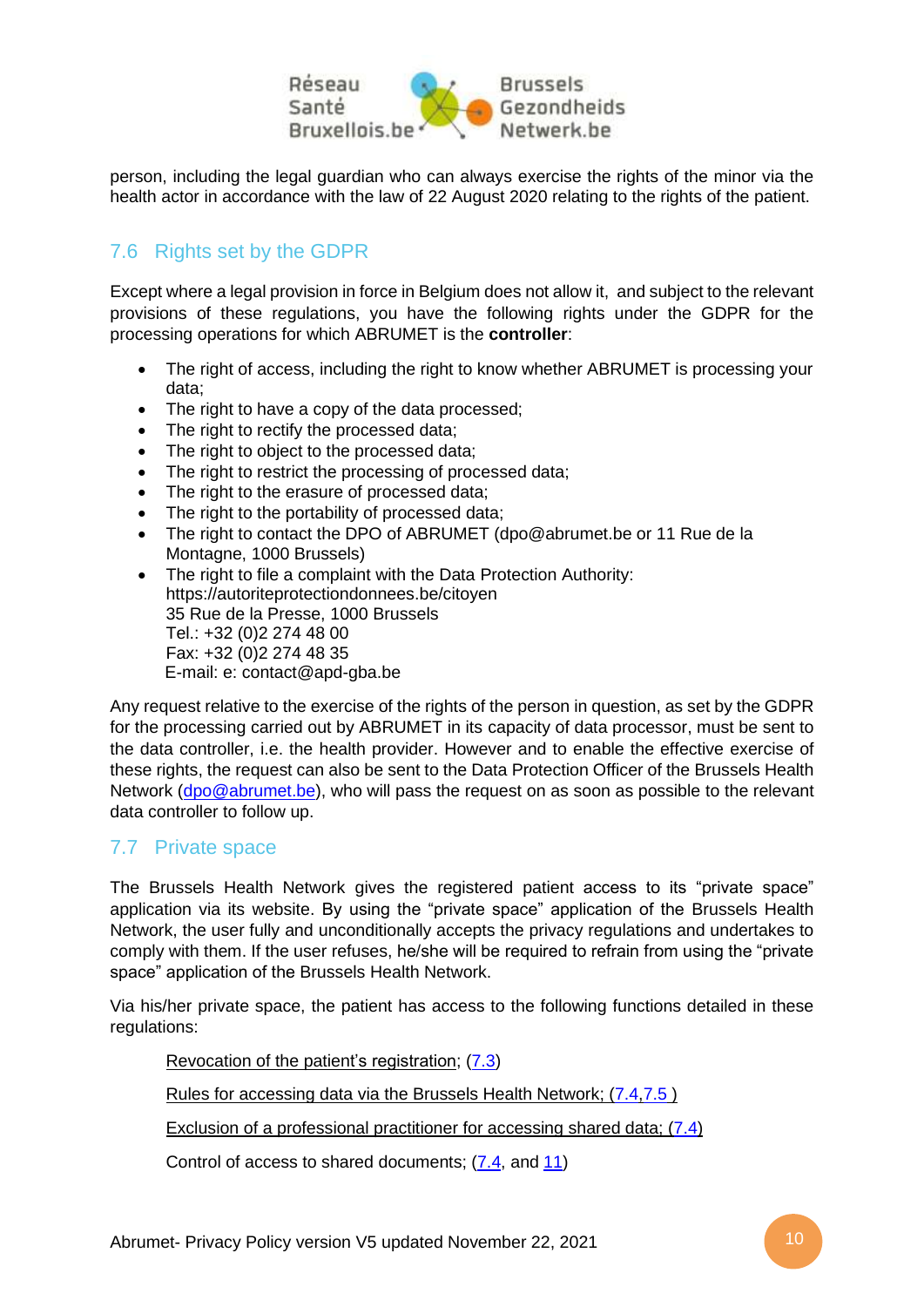

person, including the legal guardian who can always exercise the rights of the minor via the health actor in accordance with the law of 22 August 2020 relating to the rights of the patient.

## <span id="page-9-0"></span>7.6 Rights set by the GDPR

Except where a legal provision in force in Belgium does not allow it, and subject to the relevant provisions of these regulations, you have the following rights under the GDPR for the processing operations for which ABRUMET is the **controller**:

- The right of access, including the right to know whether ABRUMET is processing your data;
- The right to have a copy of the data processed;
- The right to rectify the processed data;
- The right to object to the processed data:
- The right to restrict the processing of processed data;
- The right to the erasure of processed data;
- The right to the portability of processed data;
- The right to contact the DPO of ABRUMET (dpo@abrumet.be or 11 Rue de la Montagne, 1000 Brussels)
- The right to file a complaint with the Data Protection Authority: https://autoriteprotectiondonnees.be/citoyen 35 Rue de la Presse, 1000 Brussels Tel.: +32 (0)2 274 48 00 Fax: +32 (0)2 274 48 35 E-mail: e: [contact@apd-gba.be](mailto:contact@apd-gba.be)

Any request relative to the exercise of the rights of the person in question, as set by the GDPR for the processing carried out by ABRUMET in its capacity of data processor, must be sent to the data controller, i.e. the health provider. However and to enable the effective exercise of these rights, the request can also be sent to the Data Protection Officer of the Brussels Health Network [\(dpo@abrumet.be\)](mailto:dpo@abrumet.be), who will pass the request on as soon as possible to the relevant data controller to follow up.

### <span id="page-9-1"></span>7.7 Private space

The Brussels Health Network gives the registered patient access to its "private space" application via its website. By using the "private space" application of the Brussels Health Network, the user fully and unconditionally accepts the privacy regulations and undertakes to comply with them. If the user refuses, he/she will be required to refrain from using the "private space" application of the Brussels Health Network.

Via his/her private space, the patient has access to the following functions detailed in these regulations:

Revocation of the patient's registration; [\(7.3\)](#page-7-0)

Rules for accessing data via the Brussels Health Network; [\(7.4](#page-7-1)[,7.5](#page-8-0) )

[Exclusion of a professional practitioner](#page-12-2) for accessing shared data; [\(7.4\)](#page-7-1)

Control of access to shared documents; [\(7.4,](#page-7-1) and [11\)](#page-12-2)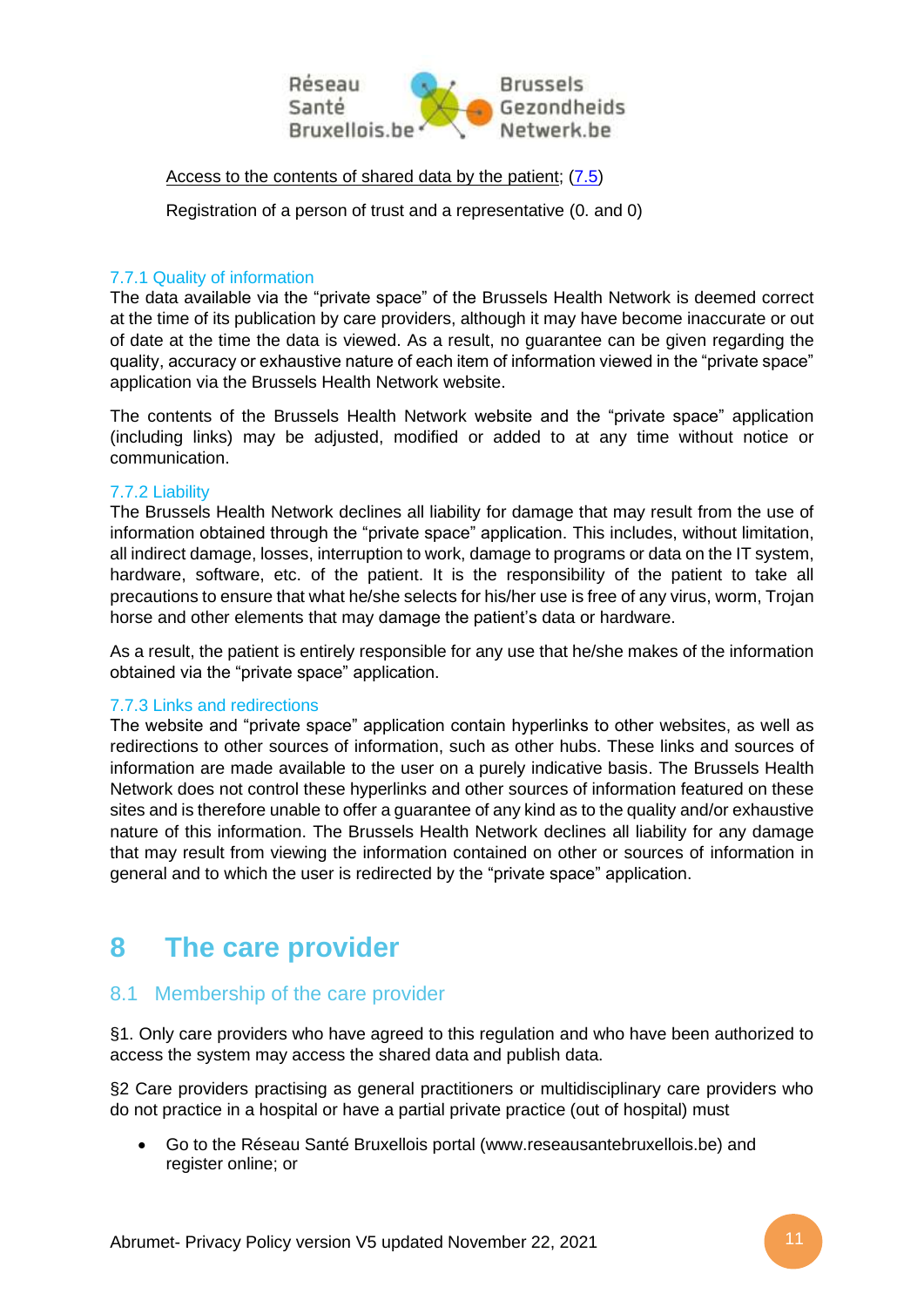

[Access to the contents of shared data by the](#page-8-0) patient; [\(7.5\)](#page-8-0)

Registration of a person of trust and a representative [\(0.](#page-8-1) and [0\)](#page-8-2)

#### <span id="page-10-0"></span>7.7.1 Quality of information

The data available via the "private space" of the Brussels Health Network is deemed correct at the time of its publication by care providers, although it may have become inaccurate or out of date at the time the data is viewed. As a result, no guarantee can be given regarding the quality, accuracy or exhaustive nature of each item of information viewed in the "private space" application via the Brussels Health Network website.

The contents of the Brussels Health Network website and the "private space" application (including links) may be adjusted, modified or added to at any time without notice or communication.

#### <span id="page-10-1"></span>7.7.2 Liability

The Brussels Health Network declines all liability for damage that may result from the use of information obtained through the "private space" application. This includes, without limitation, all indirect damage, losses, interruption to work, damage to programs or data on the IT system, hardware, software, etc. of the patient. It is the responsibility of the patient to take all precautions to ensure that what he/she selects for his/her use is free of any virus, worm, Trojan horse and other elements that may damage the patient's data or hardware.

As a result, the patient is entirely responsible for any use that he/she makes of the information obtained via the "private space" application.

#### <span id="page-10-2"></span>7.7.3 Links and redirections

The website and "private space" application contain hyperlinks to other websites, as well as redirections to other sources of information, such as other hubs. These links and sources of information are made available to the user on a purely indicative basis. The Brussels Health Network does not control these hyperlinks and other sources of information featured on these sites and is therefore unable to offer a guarantee of any kind as to the quality and/or exhaustive nature of this information. The Brussels Health Network declines all liability for any damage that may result from viewing the information contained on other or sources of information in general and to which the user is redirected by the "private space" application.

# <span id="page-10-3"></span>**8 The care provider**

### <span id="page-10-4"></span>8.1 Membership of the care provider

§1. Only care providers who have agreed to this regulation and who have been authorized to access the system may access the shared data and publish data.

§2 Care providers practising as general practitioners or multidisciplinary care providers who do not practice in a hospital or have a partial private practice (out of hospital) must

• Go to the Réseau Santé Bruxellois portal (www.reseausantebruxellois.be) and register online; or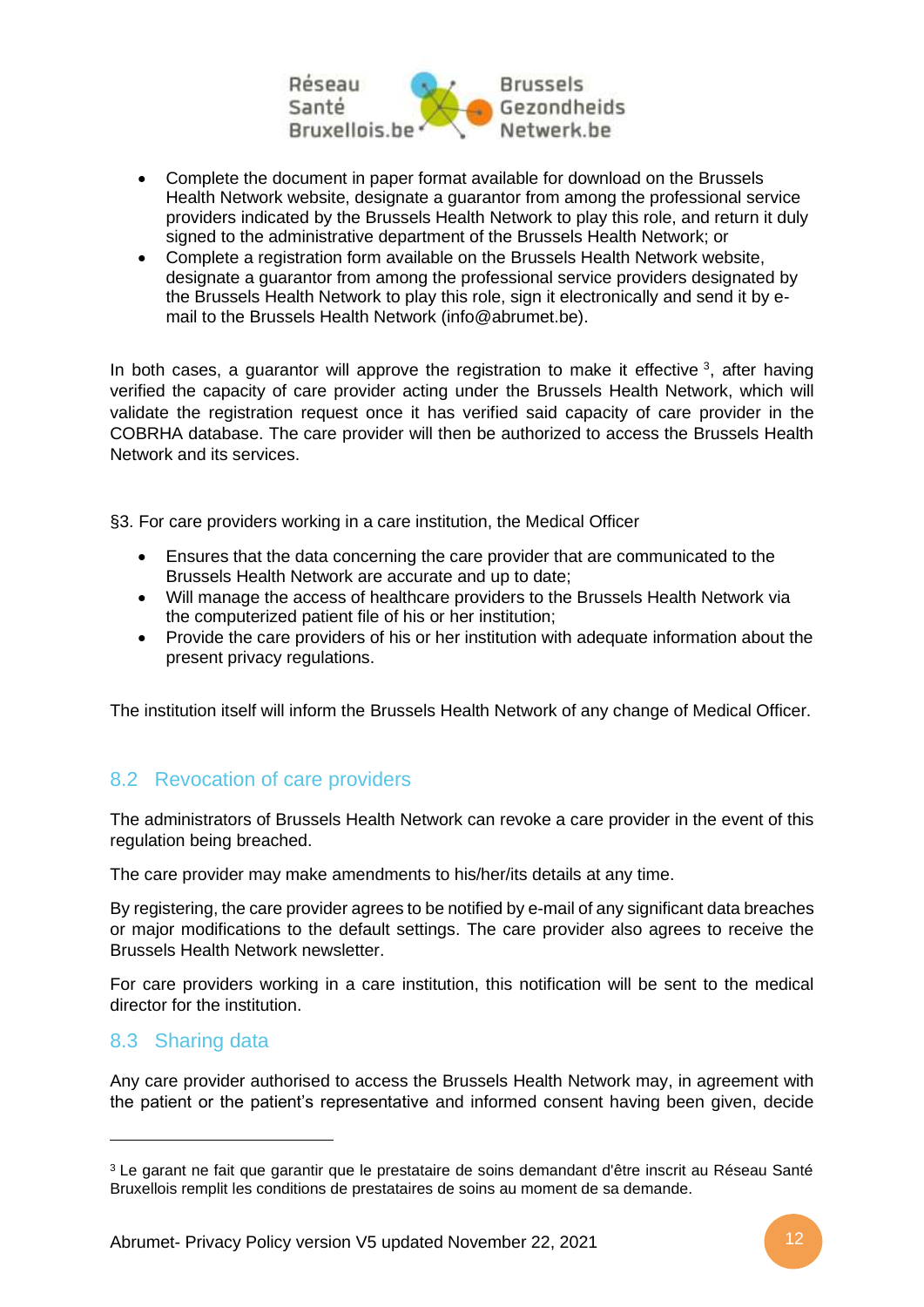

- Complete the document in paper format available for download on the Brussels Health Network website, designate a guarantor from among the professional service providers indicated by the Brussels Health Network to play this role, and return it duly signed to the administrative department of the Brussels Health Network; or
- Complete a registration form available on the Brussels Health Network website, designate a guarantor from among the professional service providers designated by the Brussels Health Network to play this role, sign it electronically and send it by email to the Brussels Health Network (info@abrumet.be).

In both cases, a guarantor will approve the registration to make it effective  $3$ , after having verified the capacity of care provider acting under the Brussels Health Network, which will validate the registration request once it has verified said capacity of care provider in the COBRHA database. The care provider will then be authorized to access the Brussels Health Network and its services.

§3. For care providers working in a care institution, the Medical Officer

- Ensures that the data concerning the care provider that are communicated to the Brussels Health Network are accurate and up to date;
- Will manage the access of healthcare providers to the Brussels Health Network via the computerized patient file of his or her institution;
- Provide the care providers of his or her institution with adequate information about the present privacy regulations.

The institution itself will inform the Brussels Health Network of any change of Medical Officer.

## <span id="page-11-0"></span>8.2 Revocation of care providers

The administrators of Brussels Health Network can revoke a care provider in the event of this regulation being breached.

The care provider may make amendments to his/her/its details at any time.

By registering, the care provider agrees to be notified by e-mail of any significant data breaches or major modifications to the default settings. The care provider also agrees to receive the Brussels Health Network newsletter.

For care providers working in a care institution, this notification will be sent to the medical director for the institution.

### <span id="page-11-1"></span>8.3 Sharing data

Any care provider authorised to access the Brussels Health Network may, in agreement with the patient or the patient's representative and informed consent having been given, decide

<sup>3</sup> Le garant ne fait que garantir que le prestataire de soins demandant d'être inscrit au Réseau Santé Bruxellois remplit les conditions de prestataires de soins au moment de sa demande.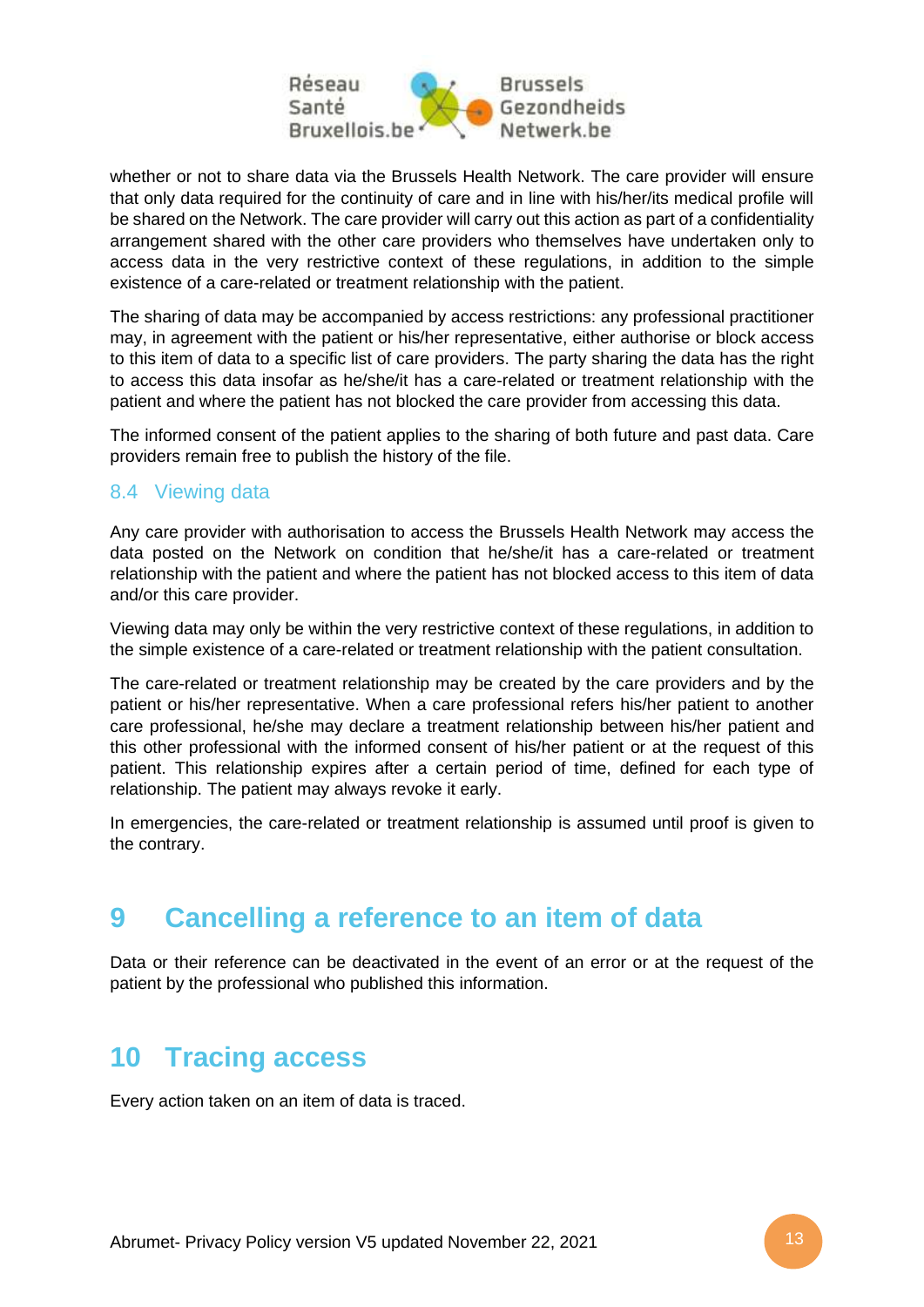

whether or not to share data via the Brussels Health Network. The care provider will ensure that only data required for the continuity of care and in line with his/her/its medical profile will be shared on the Network. The care provider will carry out this action as part of a confidentiality arrangement shared with the other care providers who themselves have undertaken only to access data in the very restrictive context of these regulations, in addition to the simple existence of a care-related or treatment relationship with the patient.

The sharing of data may be accompanied by access restrictions: any professional practitioner may, in agreement with the patient or his/her representative, either authorise or block access to this item of data to a specific list of care providers. The party sharing the data has the right to access this data insofar as he/she/it has a care-related or treatment relationship with the patient and where the patient has not blocked the care provider from accessing this data.

The informed consent of the patient applies to the sharing of both future and past data. Care providers remain free to publish the history of the file.

### <span id="page-12-0"></span>8.4 Viewing data

Any care provider with authorisation to access the Brussels Health Network may access the data posted on the Network on condition that he/she/it has a care-related or treatment relationship with the patient and where the patient has not blocked access to this item of data and/or this care provider.

Viewing data may only be within the very restrictive context of these regulations, in addition to the simple existence of a care-related or treatment relationship with the patient consultation.

The care-related or treatment relationship may be created by the care providers and by the patient or his/her representative. When a care professional refers his/her patient to another care professional, he/she may declare a treatment relationship between his/her patient and this other professional with the informed consent of his/her patient or at the request of this patient. This relationship expires after a certain period of time, defined for each type of relationship. The patient may always revoke it early.

In emergencies, the care-related or treatment relationship is assumed until proof is given to the contrary.

# <span id="page-12-1"></span>**9 Cancelling a reference to an item of data**

Data or their reference can be deactivated in the event of an error or at the request of the patient by the professional who published this information.

# <span id="page-12-2"></span>**10 Tracing access**

Every action taken on an item of data is traced.